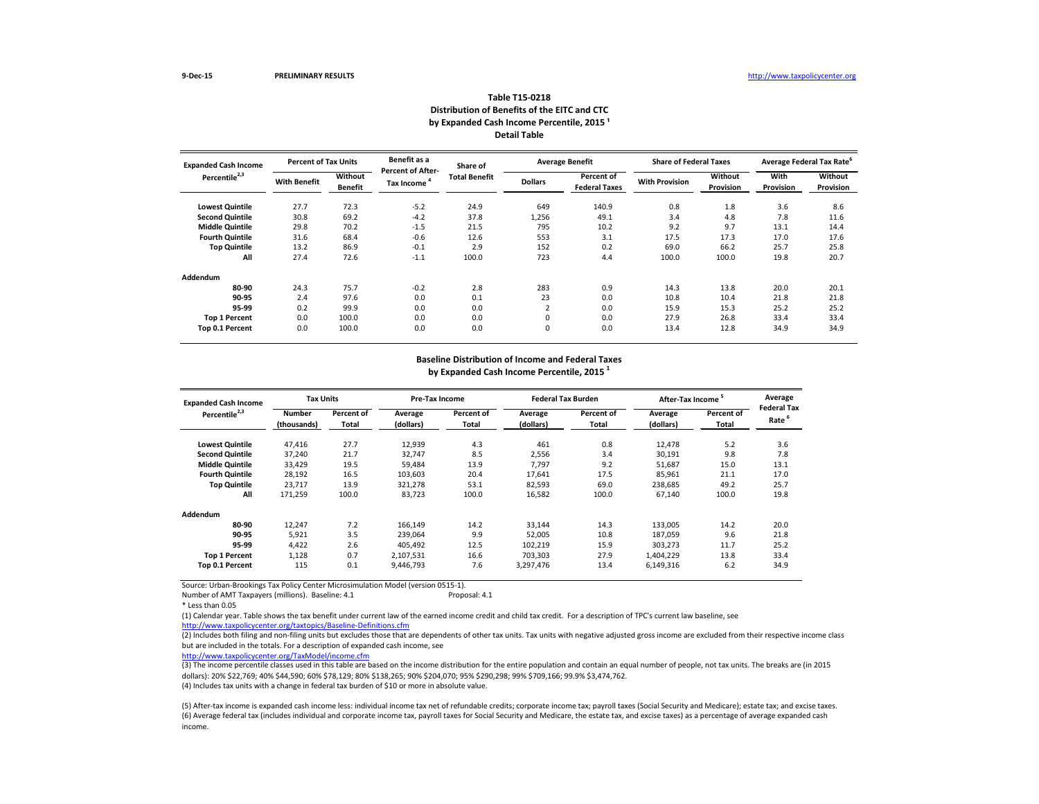| <b>Expanded Cash Income</b> | <b>Percent of Tax Units</b> |                           | Benefit as a                                  | Share of             |                | <b>Average Benefit</b>             | <b>Share of Federal Taxes</b> |                      | <b>Average Federal Tax Rate<sup>6</sup></b> |                      |
|-----------------------------|-----------------------------|---------------------------|-----------------------------------------------|----------------------|----------------|------------------------------------|-------------------------------|----------------------|---------------------------------------------|----------------------|
| Percentile <sup>2,3</sup>   | <b>With Benefit</b>         | Without<br><b>Benefit</b> | <b>Percent of After-</b><br><b>Tax Income</b> | <b>Total Benefit</b> | <b>Dollars</b> | Percent of<br><b>Federal Taxes</b> | <b>With Provision</b>         | Without<br>Provision | With<br>Provision                           | Without<br>Provision |
| <b>Lowest Quintile</b>      | 27.7                        | 72.3                      | $-5.2$                                        | 24.9                 | 649            | 140.9                              | 0.8                           | 1.8                  | 3.6                                         | 8.6                  |
| <b>Second Quintile</b>      | 30.8                        | 69.2                      | $-4.2$                                        | 37.8                 | 1,256          | 49.1                               | 3.4                           | 4.8                  | 7.8                                         | 11.6                 |
| <b>Middle Quintile</b>      | 29.8                        | 70.2                      | $-1.5$                                        | 21.5                 | 795            | 10.2                               | 9.2                           | 9.7                  | 13.1                                        | 14.4                 |
| <b>Fourth Quintile</b>      | 31.6                        | 68.4                      | $-0.6$                                        | 12.6                 | 553            | 3.1                                | 17.5                          | 17.3                 | 17.0                                        | 17.6                 |
| <b>Top Quintile</b>         | 13.2                        | 86.9                      | $-0.1$                                        | 2.9                  | 152            | 0.2                                | 69.0                          | 66.2                 | 25.7                                        | 25.8                 |
| All                         | 27.4                        | 72.6                      | $-1.1$                                        | 100.0                | 723            | 4.4                                | 100.0                         | 100.0                | 19.8                                        | 20.7                 |
| Addendum                    |                             |                           |                                               |                      |                |                                    |                               |                      |                                             |                      |
| 80-90                       | 24.3                        | 75.7                      | $-0.2$                                        | 2.8                  | 283            | 0.9                                | 14.3                          | 13.8                 | 20.0                                        | 20.1                 |
| 90-95                       | 2.4                         | 97.6                      | 0.0                                           | 0.1                  | 23             | 0.0                                | 10.8                          | 10.4                 | 21.8                                        | 21.8                 |
| 95-99                       | 0.2                         | 99.9                      | 0.0                                           | 0.0                  | $\overline{2}$ | 0.0                                | 15.9                          | 15.3                 | 25.2                                        | 25.2                 |
| <b>Top 1 Percent</b>        | 0.0                         | 100.0                     | 0.0                                           | 0.0                  | 0              | 0.0                                | 27.9                          | 26.8                 | 33.4                                        | 33.4                 |
| Top 0.1 Percent             | 0.0                         | 100.0                     | 0.0                                           | 0.0                  | 0              | 0.0                                | 13.4                          | 12.8                 | 34.9                                        | 34.9                 |

Number of AMT Taxpayers (millions). Baseline: 4.1

\* Less than 0.05

| <b>Expanded Cash Income</b> | <b>Tax Units</b>             |                            | <b>Pre-Tax Income</b> |                                   |                      | <b>Federal Tax Burden</b>  | After-Tax Income <sup>5</sup> |                     | Average                    |
|-----------------------------|------------------------------|----------------------------|-----------------------|-----------------------------------|----------------------|----------------------------|-------------------------------|---------------------|----------------------------|
| Percentile <sup>2,3</sup>   | <b>Number</b><br>(thousands) | Percent of<br><b>Total</b> | Average<br>(dollars)  | <b>Percent of</b><br><b>Total</b> | Average<br>(dollars) | Percent of<br><b>Total</b> | Average<br>(dollars)          | Percent of<br>Total | <b>Federal Tax</b><br>Rate |
|                             |                              |                            |                       |                                   |                      |                            |                               |                     |                            |
| <b>Lowest Quintile</b>      | 47,416                       | 27.7                       | 12,939                | 4.3                               | 461                  | 0.8                        | 12,478                        | 5.2                 | 3.6                        |
| <b>Second Quintile</b>      | 37,240                       | 21.7                       | 32,747                | 8.5                               | 2,556                | 3.4                        | 30,191                        | 9.8                 | 7.8                        |
| <b>Middle Quintile</b>      | 33,429                       | 19.5                       | 59,484                | 13.9                              | 7,797                | 9.2                        | 51,687                        | 15.0                | 13.1                       |
| <b>Fourth Quintile</b>      | 28,192                       | 16.5                       | 103,603               | 20.4                              | 17,641               | 17.5                       | 85,961                        | 21.1                | 17.0                       |
| <b>Top Quintile</b>         | 23,717                       | 13.9                       | 321,278               | 53.1                              | 82,593               | 69.0                       | 238,685                       | 49.2                | 25.7                       |
| All                         | 171,259                      | 100.0                      | 83,723                | 100.0                             | 16,582               | 100.0                      | 67,140                        | 100.0               | 19.8                       |
| Addendum                    |                              |                            |                       |                                   |                      |                            |                               |                     |                            |
| 80-90                       | 12,247                       | 7.2                        | 166,149               | 14.2                              | 33,144               | 14.3                       | 133,005                       | 14.2                | 20.0                       |
| 90-95                       | 5,921                        | 3.5                        | 239,064               | 9.9                               | 52,005               | 10.8                       | 187,059                       | 9.6                 | 21.8                       |
| 95-99                       | 4,422                        | 2.6                        | 405,492               | 12.5                              | 102,219              | 15.9                       | 303,273                       | 11.7                | 25.2                       |
| <b>Top 1 Percent</b>        | 1,128                        | 0.7                        | 2,107,531             | 16.6                              | 703,303              | 27.9                       | 1,404,229                     | 13.8                | 33.4                       |
| Top 0.1 Percent             | 115                          | 0.1                        | 9,446,793             | 7.6                               | 3,297,476            | 13.4                       | 6,149,316                     | 6.2                 | 34.9                       |
|                             |                              |                            |                       |                                   |                      |                            |                               |                     |                            |

# **Table T15-0218 Distribution of Benefits of the EITC and CTC** by Expanded Cash Income Percentile, 2015<sup>1</sup> **Detail Table**

 $\overline{2}$  Includes both filing and non-filing units but excludes those that are dependents of other tax units. Tax units with negative adjusted gross income are excluded from their respective income class but are included in the totals. For a description of expanded cash income, see

(3) The income percentile classes used in this table are based on the income distribution for the entire population and contain an equal number of people, not tax units. The breaks are (in 2015 dollars): 20% \$22,769; 40% \$44,590; 60% \$78,129; 80% \$138,265; 90% \$204,070; 95% \$290,298; 99% \$709,166; 99.9% \$3,474,762.

### **Baseline Distribution of Income and Federal Taxes by Expanded Cash Income Percentile, 2015 1**

<http://www.taxpolicycenter.org/taxtopics/Baseline-Definitions.cfm> (1) Calendar year. Table shows the tax benefit under current law of the earned income credit and child tax credit. For a description of TPC's current law baseline, see

(5) After-tax income is expanded cash income less: individual income tax net of refundable credits; corporate income tax; payroll taxes (Social Security and Medicare); estate tax; and excise taxes. (6) Average federal tax (includes individual and corporate income tax, payroll taxes for Social Security and Medicare, the estate tax, and excise taxes) as a percentage of average expanded cash income.

<http://www.taxpolicycenter.org/TaxModel/income.cfm>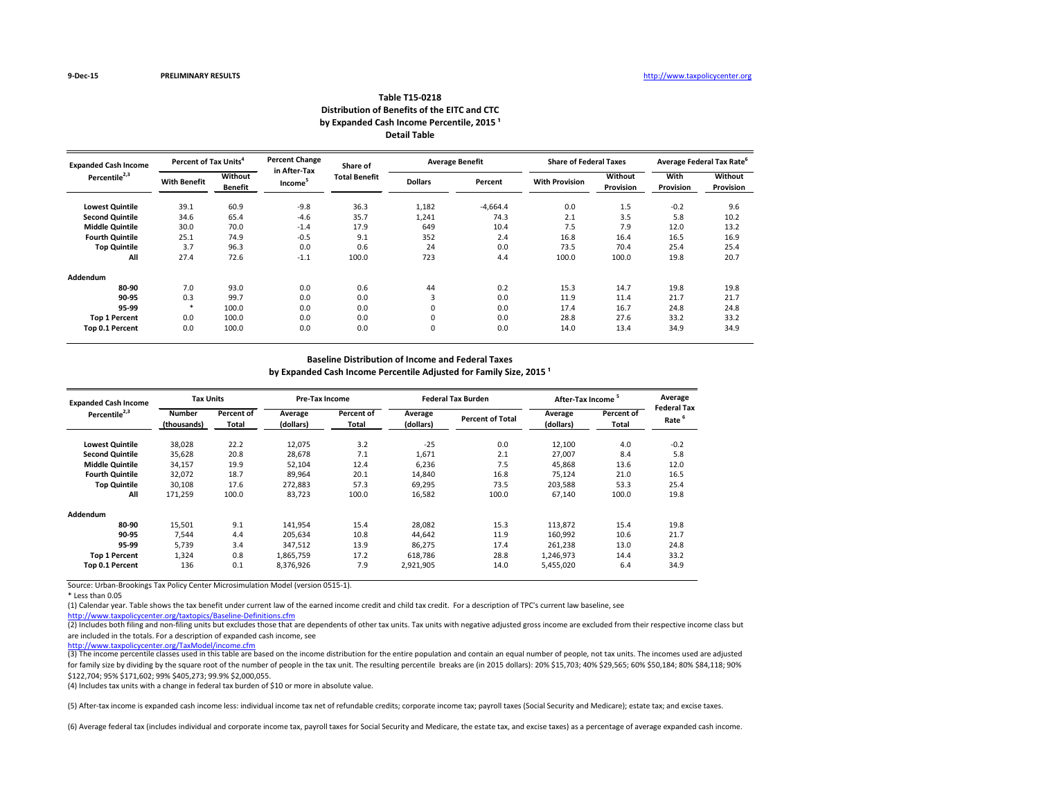### **Distribution of Benefits of the EITC and CTC Table T15-0218** by Expanded Cash Income Percentile, 2015<sup>1</sup> **Detail Table**

| <b>Expanded Cash Income</b> | Percent of Tax Units <sup>4</sup> |                                  | <b>Percent Change</b>               | Share of             |                | <b>Average Benefit</b> | <b>Share of Federal Taxes</b> |                             |                                 | Average Federal Tax Rate           |
|-----------------------------|-----------------------------------|----------------------------------|-------------------------------------|----------------------|----------------|------------------------|-------------------------------|-----------------------------|---------------------------------|------------------------------------|
| Percentile <sup>2,3</sup>   | <b>With Benefit</b>               | <b>Without</b><br><b>Benefit</b> | in After-Tax<br>Income <sup>-</sup> | <b>Total Benefit</b> | <b>Dollars</b> | Percent                | <b>With Provision</b>         | <b>Without</b><br>Provision | <b>With</b><br><b>Provision</b> | <b>Without</b><br><b>Provision</b> |
| <b>Lowest Quintile</b>      | 39.1                              | 60.9                             | $-9.8$                              | 36.3                 | 1,182          | $-4,664.4$             | 0.0                           | 1.5                         | $-0.2$                          | 9.6                                |
| <b>Second Quintile</b>      | 34.6                              | 65.4                             | $-4.6$                              | 35.7                 | 1,241          | 74.3                   | 2.1                           | 3.5                         | 5.8                             | 10.2                               |
| <b>Middle Quintile</b>      | 30.0                              | 70.0                             | $-1.4$                              | 17.9                 | 649            | 10.4                   | 7.5                           | 7.9                         | 12.0                            | 13.2                               |
| <b>Fourth Quintile</b>      | 25.1                              | 74.9                             | $-0.5$                              | 9.1                  | 352            | 2.4                    | 16.8                          | 16.4                        | 16.5                            | 16.9                               |
| <b>Top Quintile</b>         | 3.7                               | 96.3                             | 0.0                                 | 0.6                  | 24             | 0.0                    | 73.5                          | 70.4                        | 25.4                            | 25.4                               |
| All                         | 27.4                              | 72.6                             | $-1.1$                              | 100.0                | 723            | 4.4                    | 100.0                         | 100.0                       | 19.8                            | 20.7                               |
| Addendum                    |                                   |                                  |                                     |                      |                |                        |                               |                             |                                 |                                    |
| 80-90                       | 7.0                               | 93.0                             | 0.0                                 | 0.6                  | 44             | 0.2                    | 15.3                          | 14.7                        | 19.8                            | 19.8                               |
| 90-95                       | 0.3                               | 99.7                             | 0.0                                 | 0.0                  | 3              | 0.0                    | 11.9                          | 11.4                        | 21.7                            | 21.7                               |
| 95-99                       | $\ast$                            | 100.0                            | 0.0                                 | 0.0                  | 0              | 0.0                    | 17.4                          | 16.7                        | 24.8                            | 24.8                               |
| <b>Top 1 Percent</b>        | 0.0                               | 100.0                            | 0.0                                 | 0.0                  | 0              | 0.0                    | 28.8                          | 27.6                        | 33.2                            | 33.2                               |
| Top 0.1 Percent             | 0.0                               | 100.0                            | 0.0                                 | 0.0                  | $\mathbf 0$    | 0.0                    | 14.0                          | 13.4                        | 34.9                            | 34.9                               |

Source: Urban-Brookings Tax Policy Center Microsimulation Model (version 0515-1).

(2) Includes both filing and non-filing units but excludes those that are dependents of other tax units. Tax units with negative adjusted gross income are excluded from their respective income class but are included in the totals. For a description of expanded cash income, see

\* Less than 0.05

<http://www.taxpolicycenter.org/taxtopics/Baseline-Definitions.cfm>

**Provision**

(3) The income percentile classes used in this table are based on the income distribution for the entire population and contain an equal number of people, not tax units. The incomes used are adjusted for family size by dividing by the square root of the number of people in the tax unit. The resulting percentile breaks are (in 2015 dollars): 20% \$15,703; 40% \$29,565; 60% \$50,184; 80% \$84,118; 90% \$122,704; 95% \$171,602; 99% \$405,273; 99.9% \$2,000,055.

(5) After-tax income is expanded cash income less: individual income tax net of refundable credits; corporate income tax; payroll taxes (Social Security and Medicare); estate tax; and excise taxes.

(6) Average federal tax (includes individual and corporate income tax, payroll taxes for Social Security and Medicare, the estate tax, and excise taxes) as a percentage of average expanded cash income.

 $\frac{1}{\sqrt{1-\epsilon}}$ 

| <b>Expanded Cash Income</b> | <b>Tax Units</b>             |                            | <b>Pre-Tax Income</b> |                                   |                      | <b>Federal Tax Burden</b> | After-Tax Income     |                     | Average                    |
|-----------------------------|------------------------------|----------------------------|-----------------------|-----------------------------------|----------------------|---------------------------|----------------------|---------------------|----------------------------|
| Percentile <sup>2,3</sup>   | <b>Number</b><br>(thousands) | Percent of<br><b>Total</b> | Average<br>(dollars)  | <b>Percent of</b><br><b>Total</b> | Average<br>(dollars) | <b>Percent of Total</b>   | Average<br>(dollars) | Percent of<br>Total | <b>Federal Tax</b><br>Rate |
| <b>Lowest Quintile</b>      | 38,028                       | 22.2                       | 12,075                | 3.2                               | $-25$                | 0.0                       | 12,100               | 4.0                 | $-0.2$                     |
| <b>Second Quintile</b>      | 35,628                       | 20.8                       | 28,678                | 7.1                               | 1,671                | 2.1                       | 27,007               | 8.4                 | 5.8                        |
| <b>Middle Quintile</b>      | 34,157                       | 19.9                       | 52,104                | 12.4                              | 6,236                | 7.5                       | 45,868               | 13.6                | 12.0                       |
| <b>Fourth Quintile</b>      | 32,072                       | 18.7                       | 89,964                | 20.1                              | 14,840               | 16.8                      | 75,124               | 21.0                | 16.5                       |
| <b>Top Quintile</b>         | 30,108                       | 17.6                       | 272,883               | 57.3                              | 69,295               | 73.5                      | 203,588              | 53.3                | 25.4                       |
| All                         | 171,259                      | 100.0                      | 83,723                | 100.0                             | 16,582               | 100.0                     | 67,140               | 100.0               | 19.8                       |
| Addendum                    |                              |                            |                       |                                   |                      |                           |                      |                     |                            |
| 80-90                       | 15,501                       | 9.1                        | 141,954               | 15.4                              | 28,082               | 15.3                      | 113,872              | 15.4                | 19.8                       |
| 90-95                       | 7,544                        | 4.4                        | 205,634               | 10.8                              | 44.642               | 11.9                      | 160,992              | 10.6                | 21.7                       |
| 95-99                       | 5,739                        | 3.4                        | 347,512               | 13.9                              | 86,275               | 17.4                      | 261,238              | 13.0                | 24.8                       |
| <b>Top 1 Percent</b>        | 1,324                        | 0.8                        | 1,865,759             | 17.2                              | 618.786              | 28.8                      | 1,246,973            | 14.4                | 33.2                       |
| Top 0.1 Percent             | 136                          | 0.1                        | 8,376,926             | 7.9                               | 2,921,905            | 14.0                      | 5,455,020            | 6.4                 | 34.9                       |

(1) Calendar year. Table shows the tax benefit under current law of the earned income credit and child tax credit. For a description of TPC's current law baseline, see

#### **Baseline Distribution of Income and Federal Taxes**

by Expanded Cash Income Percentile Adjusted for Family Size, 2015<sup>1</sup>

(4) Includes tax units with a change in federal tax burden of \$10 or more in absolute value.

<http://www.taxpolicycenter.org/TaxModel/income.cfm>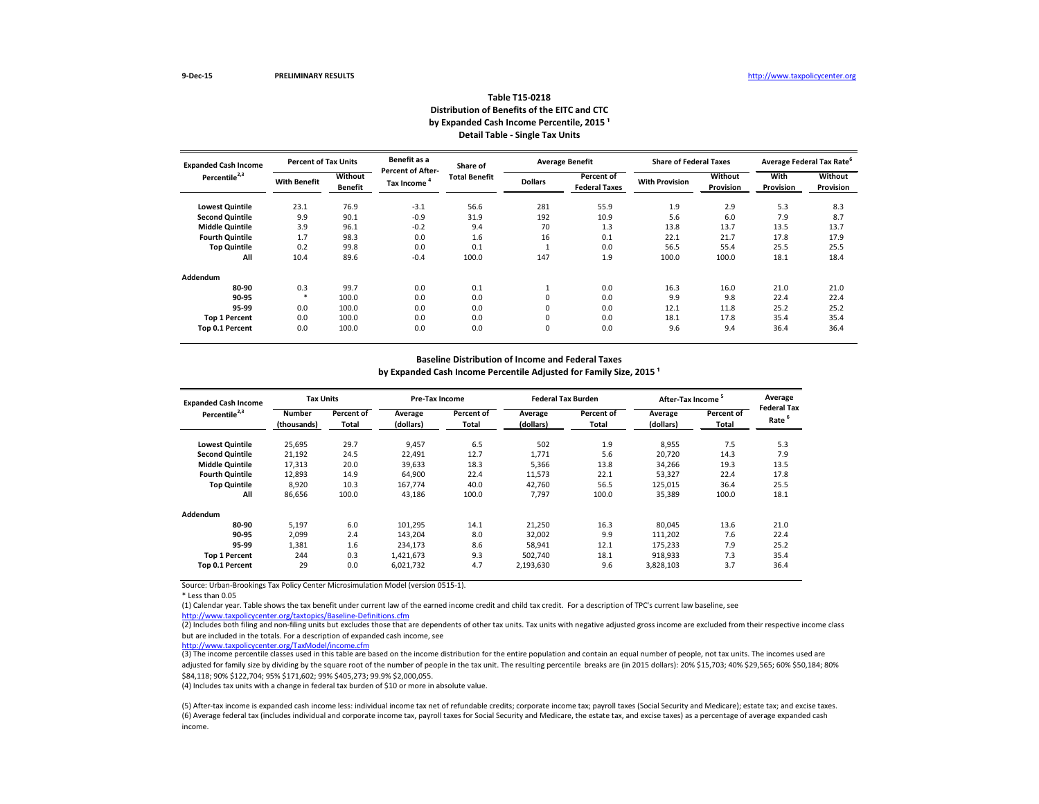| <b>Expanded Cash Income</b> | <b>Percent of Tax Units</b> |                           | Benefit as a                                  | Share of             |                | <b>Average Benefit</b>             | <b>Share of Federal Taxes</b> |                      |                          | <b>Average Federal Tax Rate<sup>6</sup></b> |
|-----------------------------|-----------------------------|---------------------------|-----------------------------------------------|----------------------|----------------|------------------------------------|-------------------------------|----------------------|--------------------------|---------------------------------------------|
| Percentile <sup>2,3</sup>   | <b>With Benefit</b>         | Without<br><b>Benefit</b> | <b>Percent of After-</b><br><b>Tax Income</b> | <b>Total Benefit</b> | <b>Dollars</b> | Percent of<br><b>Federal Taxes</b> | <b>With Provision</b>         | Without<br>Provision | With<br><b>Provision</b> | Without<br>Provision                        |
| <b>Lowest Quintile</b>      | 23.1                        | 76.9                      | $-3.1$                                        | 56.6                 | 281            | 55.9                               | 1.9                           | 2.9                  | 5.3                      | 8.3                                         |
| <b>Second Quintile</b>      | 9.9                         | 90.1                      | $-0.9$                                        | 31.9                 | 192            | 10.9                               | 5.6                           | 6.0                  | 7.9                      | 8.7                                         |
| <b>Middle Quintile</b>      | 3.9                         | 96.1                      | $-0.2$                                        | 9.4                  | 70             | 1.3                                | 13.8                          | 13.7                 | 13.5                     | 13.7                                        |
| <b>Fourth Quintile</b>      | 1.7                         | 98.3                      | 0.0                                           | 1.6                  | 16             | 0.1                                | 22.1                          | 21.7                 | 17.8                     | 17.9                                        |
| <b>Top Quintile</b>         | 0.2                         | 99.8                      | 0.0                                           | 0.1                  | Ŧ              | 0.0                                | 56.5                          | 55.4                 | 25.5                     | 25.5                                        |
| All                         | 10.4                        | 89.6                      | $-0.4$                                        | 100.0                | 147            | 1.9                                | 100.0                         | 100.0                | 18.1                     | 18.4                                        |
| Addendum                    |                             |                           |                                               |                      |                |                                    |                               |                      |                          |                                             |
| 80-90                       | 0.3                         | 99.7                      | 0.0                                           | 0.1                  | 1              | 0.0                                | 16.3                          | 16.0                 | 21.0                     | 21.0                                        |
| 90-95                       |                             | 100.0                     | 0.0                                           | 0.0                  | 0              | 0.0                                | 9.9                           | 9.8                  | 22.4                     | 22.4                                        |
| 95-99                       | 0.0                         | 100.0                     | 0.0                                           | 0.0                  | 0              | 0.0                                | 12.1                          | 11.8                 | 25.2                     | 25.2                                        |
| <b>Top 1 Percent</b>        | 0.0                         | 100.0                     | 0.0                                           | 0.0                  | 0              | 0.0                                | 18.1                          | 17.8                 | 35.4                     | 35.4                                        |
| Top 0.1 Percent             | 0.0                         | 100.0                     | 0.0                                           | 0.0                  | 0              | 0.0                                | 9.6                           | 9.4                  | 36.4                     | 36.4                                        |

\* Less than 0.05

(2) Includes both filing and non-filing units but excludes those that are dependents of other tax units. Tax units with negative adjusted gross income are excluded from their respective income class but are included in the totals. For a description of expanded cash income, see

| <b>Expanded Cash Income</b> | <b>Tax Units</b>             |                            |                      | Pre-Tax Income      |                      | <b>Federal Tax Burden</b> | After-Tax Income <sup>5</sup> |                     | Average                                |
|-----------------------------|------------------------------|----------------------------|----------------------|---------------------|----------------------|---------------------------|-------------------------------|---------------------|----------------------------------------|
| Percentile <sup>2,3</sup>   | <b>Number</b><br>(thousands) | Percent of<br><b>Total</b> | Average<br>(dollars) | Percent of<br>Total | Average<br>(dollars) | Percent of<br>Total       | Average<br>(dollars)          | Percent of<br>Total | <b>Federal Ta</b><br>Rate <sup>6</sup> |
| <b>Lowest Quintile</b>      | 25,695                       | 29.7                       | 9,457                | 6.5                 | 502                  | 1.9                       | 8,955                         | 7.5                 | 5.3                                    |
| <b>Second Quintile</b>      | 21,192                       | 24.5                       | 22,491               | 12.7                | 1,771                | 5.6                       | 20,720                        | 14.3                | 7.9                                    |
| <b>Middle Quintile</b>      | 17,313                       | 20.0                       | 39,633               | 18.3                | 5,366                | 13.8                      | 34,266                        | 19.3                | 13.5                                   |
| <b>Fourth Quintile</b>      | 12,893                       | 14.9                       | 64,900               | 22.4                | 11,573               | 22.1                      | 53,327                        | 22.4                | 17.8                                   |
| <b>Top Quintile</b>         | 8,920                        | 10.3                       | 167,774              | 40.0                | 42,760               | 56.5                      | 125,015                       | 36.4                | 25.5                                   |
| All                         | 86,656                       | 100.0                      | 43,186               | 100.0               | 7,797                | 100.0                     | 35,389                        | 100.0               | 18.1                                   |
| Addendum                    |                              |                            |                      |                     |                      |                           |                               |                     |                                        |
| 80-90                       | 5,197                        | 6.0                        | 101,295              | 14.1                | 21,250               | 16.3                      | 80,045                        | 13.6                | 21.0                                   |
| 90-95                       | 2,099                        | 2.4                        | 143,204              | 8.0                 | 32,002               | 9.9                       | 111,202                       | 7.6                 | 22.4                                   |
| 95-99                       | 1,381                        | 1.6                        | 234,173              | 8.6                 | 58,941               | 12.1                      | 175,233                       | 7.9                 | 25.2                                   |
| <b>Top 1 Percent</b>        | 244                          | 0.3                        | 1,421,673            | 9.3                 | 502,740              | 18.1                      | 918,933                       | 7.3                 | 35.4                                   |
| Top 0.1 Percent             | 29                           | 0.0                        | 6,021,732            | 4.7                 | 2,193,630            | 9.6                       | 3,828,103                     | 3.7                 | 36.4                                   |

# **Table T15-0218 Distribution of Benefits of the EITC and CTC** by Expanded Cash Income Percentile, 2015<sup>1</sup> **Detail Table - Single Tax Units**

 $\overline{3}$ ) The income percentile classes used in this table are based on the income distribution for the entire population and contain an equal number of people, not tax units. The incomes used are adjusted for family size by dividing by the square root of the number of people in the tax unit. The resulting percentile breaks are (in 2015 dollars): 20% \$15,703; 40% \$29,565; 60% \$50,184; 80% \$84,118; 90% \$122,704; 95% \$171,602; 99% \$405,273; 99.9% \$2,000,055.

#### **Baseline Distribution of Income and Federal Taxes**

by Expanded Cash Income Percentile Adjusted for Family Size, 2015<sup>1</sup>

<http://www.taxpolicycenter.org/taxtopics/Baseline-Definitions.cfm> (1) Calendar year. Table shows the tax benefit under current law of the earned income credit and child tax credit. For a description of TPC's current law baseline, see

| Average<br>Federal Tax<br>6<br>Rate |
|-------------------------------------|
| 5.3                                 |
| 7.9                                 |
| 13.5                                |
| 17.8                                |
| 25.5                                |
| 18.1                                |
|                                     |
| 21.0                                |
| 22.4                                |
| 25.2                                |
| 35.4                                |
| 36.4                                |
|                                     |

(6) Average federal tax (includes individual and corporate income tax, payroll taxes for Social Security and Medicare, the estate tax, and excise taxes) as a percentage of average expanded cash income. (5) After-tax income is expanded cash income less: individual income tax net of refundable credits; corporate income tax; payroll taxes (Social Security and Medicare); estate tax; and excise taxes.

<http://www.taxpolicycenter.org/TaxModel/income.cfm>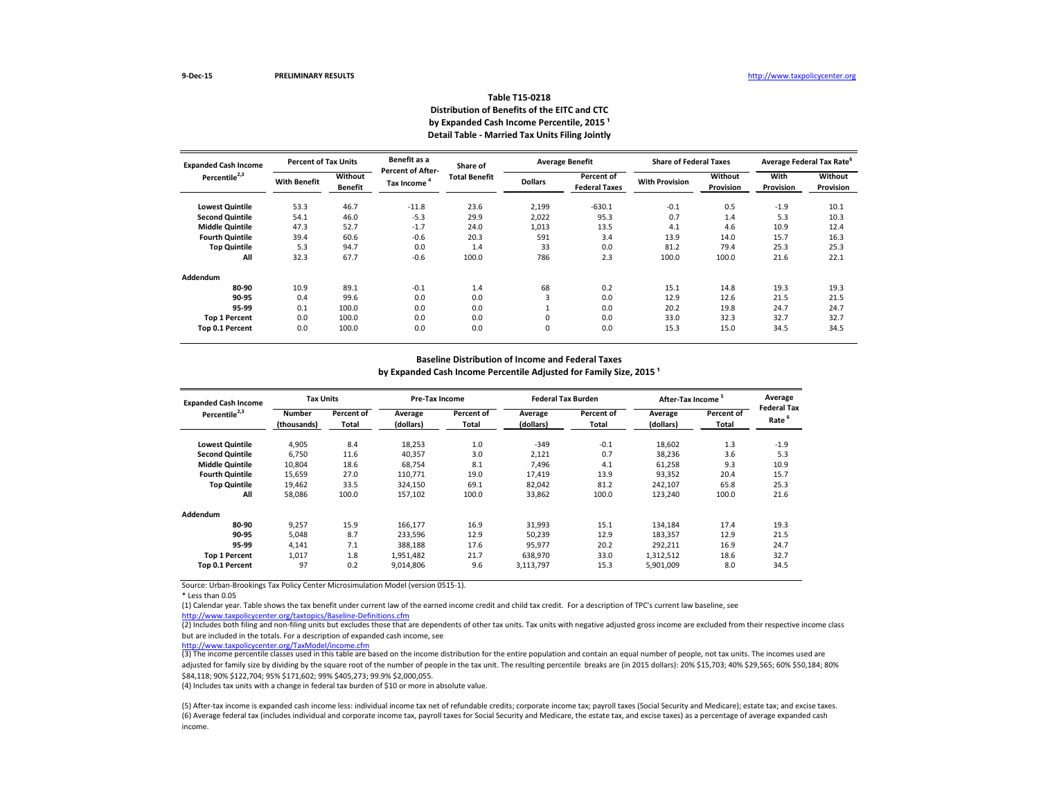| <b>Expanded Cash Income</b> | <b>Percent of Tax Units</b> |                                  | Benefit as a<br><b>Percent of After-</b> | Share of             |                | <b>Average Benefit</b>                    | <b>Share of Federal Taxes</b> |                                    |                          | <b>Average Federal Tax Rate<sup>6</sup></b> |
|-----------------------------|-----------------------------|----------------------------------|------------------------------------------|----------------------|----------------|-------------------------------------------|-------------------------------|------------------------------------|--------------------------|---------------------------------------------|
| Percentile <sup>2,3</sup>   | <b>With Benefit</b>         | <b>Without</b><br><b>Benefit</b> | <b>Tax Income</b>                        | <b>Total Benefit</b> | <b>Dollars</b> | <b>Percent of</b><br><b>Federal Taxes</b> | <b>With Provision</b>         | <b>Without</b><br><b>Provision</b> | With<br><b>Provision</b> | Without<br><b>Provision</b>                 |
| <b>Lowest Quintile</b>      | 53.3                        | 46.7                             | $-11.8$                                  | 23.6                 | 2,199          | $-630.1$                                  | $-0.1$                        | 0.5                                | $-1.9$                   | 10.1                                        |
| <b>Second Quintile</b>      | 54.1                        | 46.0                             | $-5.3$                                   | 29.9                 | 2,022          | 95.3                                      | 0.7                           | 1.4                                | 5.3                      | 10.3                                        |
| <b>Middle Quintile</b>      | 47.3                        | 52.7                             | $-1.7$                                   | 24.0                 | 1,013          | 13.5                                      | 4.1                           | 4.6                                | 10.9                     | 12.4                                        |
| <b>Fourth Quintile</b>      | 39.4                        | 60.6                             | $-0.6$                                   | 20.3                 | 591            | 3.4                                       | 13.9                          | 14.0                               | 15.7                     | 16.3                                        |
| <b>Top Quintile</b>         | 5.3                         | 94.7                             | 0.0                                      | 1.4                  | 33             | 0.0                                       | 81.2                          | 79.4                               | 25.3                     | 25.3                                        |
| All                         | 32.3                        | 67.7                             | $-0.6$                                   | 100.0                | 786            | 2.3                                       | 100.0                         | 100.0                              | 21.6                     | 22.1                                        |
| Addendum                    |                             |                                  |                                          |                      |                |                                           |                               |                                    |                          |                                             |
| 80-90                       | 10.9                        | 89.1                             | $-0.1$                                   | 1.4                  | 68             | 0.2                                       | 15.1                          | 14.8                               | 19.3                     | 19.3                                        |
| 90-95                       | 0.4                         | 99.6                             | 0.0                                      | 0.0                  | 3              | 0.0                                       | 12.9                          | 12.6                               | 21.5                     | 21.5                                        |
| 95-99                       | 0.1                         | 100.0                            | 0.0                                      | 0.0                  | ᆠ              | 0.0                                       | 20.2                          | 19.8                               | 24.7                     | 24.7                                        |
| <b>Top 1 Percent</b>        | 0.0                         | 100.0                            | 0.0                                      | 0.0                  | 0              | 0.0                                       | 33.0                          | 32.3                               | 32.7                     | 32.7                                        |
| Top 0.1 Percent             | 0.0                         | 100.0                            | 0.0                                      | 0.0                  | 0              | 0.0                                       | 15.3                          | 15.0                               | 34.5                     | 34.5                                        |

\* Less than 0.05

(2) Includes both filing and non-filing units but excludes those that are dependents of other tax units. Tax units with negative adjusted gross income are excluded from their respective income class but are included in the totals. For a description of expanded cash income, see

| <b>Expanded Cash Income</b> | <b>Tax Units</b>             |                            |                      | Pre-Tax Income      |                      | <b>Federal Tax Burden</b>  |                      | Average<br>After-Tax Income <sup>5</sup> |                                        |
|-----------------------------|------------------------------|----------------------------|----------------------|---------------------|----------------------|----------------------------|----------------------|------------------------------------------|----------------------------------------|
| Percentile <sup>2,3</sup>   | <b>Number</b><br>(thousands) | Percent of<br><b>Total</b> | Average<br>(dollars) | Percent of<br>Total | Average<br>(dollars) | Percent of<br><b>Total</b> | Average<br>(dollars) | Percent of<br>Total                      | <b>Federal Ta</b><br>Rate <sup>6</sup> |
| <b>Lowest Quintile</b>      | 4,905                        | 8.4                        | 18,253               | 1.0                 | $-349$               | $-0.1$                     | 18,602               | 1.3                                      | $-1.9$                                 |
| <b>Second Quintile</b>      | 6,750                        | 11.6                       | 40,357               | 3.0                 | 2,121                | 0.7                        | 38,236               | 3.6                                      | 5.3                                    |
| <b>Middle Quintile</b>      | 10,804                       | 18.6                       | 68,754               | 8.1                 | 7,496                | 4.1                        | 61,258               | 9.3                                      | 10.9                                   |
| <b>Fourth Quintile</b>      | 15,659                       | 27.0                       | 110,771              | 19.0                | 17,419               | 13.9                       | 93,352               | 20.4                                     | 15.7                                   |
| <b>Top Quintile</b>         | 19,462                       | 33.5                       | 324,150              | 69.1                | 82,042               | 81.2                       | 242,107              | 65.8                                     | 25.3                                   |
| All                         | 58,086                       | 100.0                      | 157,102              | 100.0               | 33,862               | 100.0                      | 123,240              | 100.0                                    | 21.6                                   |
| Addendum                    |                              |                            |                      |                     |                      |                            |                      |                                          |                                        |
| 80-90                       | 9,257                        | 15.9                       | 166,177              | 16.9                | 31,993               | 15.1                       | 134,184              | 17.4                                     | 19.3                                   |
| 90-95                       | 5,048                        | 8.7                        | 233,596              | 12.9                | 50,239               | 12.9                       | 183,357              | 12.9                                     | 21.5                                   |
| 95-99                       | 4,141                        | 7.1                        | 388,188              | 17.6                | 95,977               | 20.2                       | 292,211              | 16.9                                     | 24.7                                   |
| <b>Top 1 Percent</b>        | 1,017                        | 1.8                        | 1,951,482            | 21.7                | 638,970              | 33.0                       | 1,312,512            | 18.6                                     | 32.7                                   |
| Top 0.1 Percent             | 97                           | 0.2                        | 9,014,806            | 9.6                 | 3,113,797            | 15.3                       | 5,901,009            | 8.0                                      | 34.5                                   |

# **Table T15-0218 Distribution of Benefits of the EITC and CTC** by Expanded Cash Income Percentile, 2015<sup>1</sup> **Detail Table - Married Tax Units Filing Jointly**

 $\overline{3}$ ) The income percentile classes used in this table are based on the income distribution for the entire population and contain an equal number of people, not tax units. The incomes used are adjusted for family size by dividing by the square root of the number of people in the tax unit. The resulting percentile breaks are (in 2015 dollars): 20% \$15,703; 40% \$29,565; 60% \$50,184; 80% \$84,118; 90% \$122,704; 95% \$171,602; 99% \$405,273; 99.9% \$2,000,055.

#### **Baseline Distribution of Income and Federal Taxes**

by Expanded Cash Income Percentile Adjusted for Family Size, 2015<sup>1</sup>

<http://www.taxpolicycenter.org/taxtopics/Baseline-Definitions.cfm> (1) Calendar year. Table shows the tax benefit under current law of the earned income credit and child tax credit. For a description of TPC's current law baseline, see

| Average<br>Federal Tax<br>6<br>Rate |
|-------------------------------------|
| $-1.9$                              |
| 5.3                                 |
| 10.9                                |
| 15.7                                |
| 25.3                                |
| 21.6                                |
|                                     |
| 19.3                                |
| 21.5                                |
| 24.7                                |
| 32.7                                |
| 34.5                                |
|                                     |

(6) Average federal tax (includes individual and corporate income tax, payroll taxes for Social Security and Medicare, the estate tax, and excise taxes) as a percentage of average expanded cash income. (5) After-tax income is expanded cash income less: individual income tax net of refundable credits; corporate income tax; payroll taxes (Social Security and Medicare); estate tax; and excise taxes.

<http://www.taxpolicycenter.org/TaxModel/income.cfm>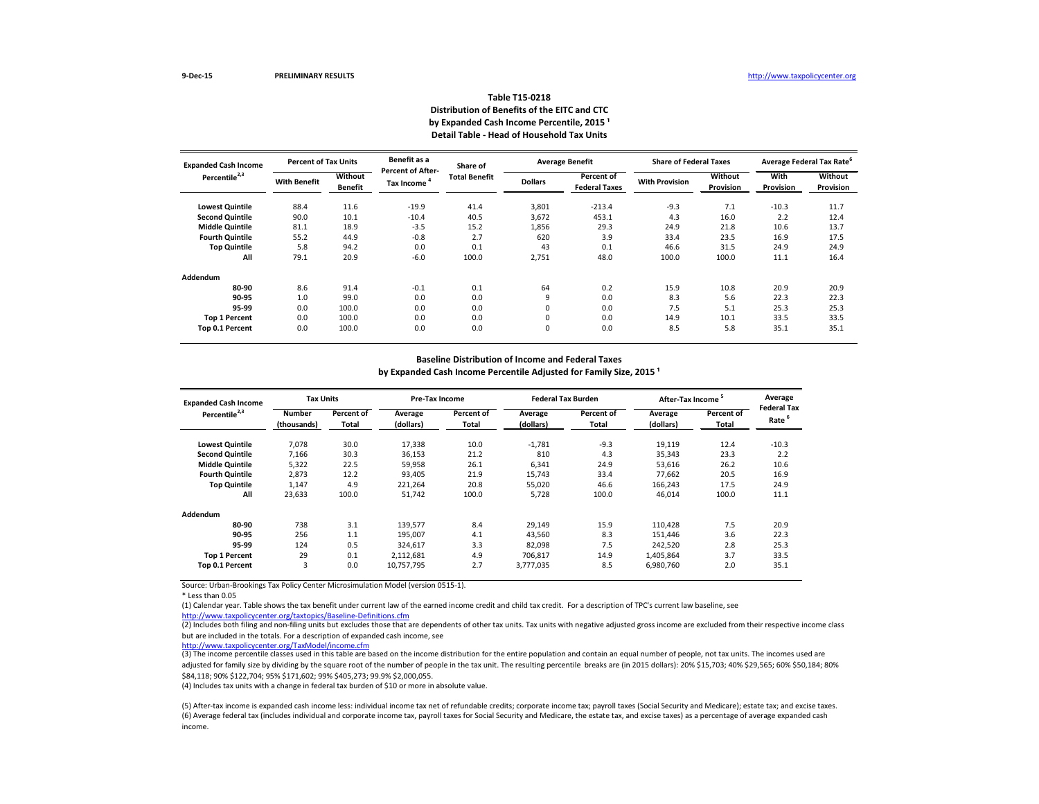| <b>Expanded Cash Income</b> | <b>Percent of Tax Units</b> |                           | Benefit as a                           | Share of             |                | <b>Average Benefit</b>             | <b>Share of Federal Taxes</b> |                             |                          | Average Federal Tax Rate <sup>o</sup> |
|-----------------------------|-----------------------------|---------------------------|----------------------------------------|----------------------|----------------|------------------------------------|-------------------------------|-----------------------------|--------------------------|---------------------------------------|
| Percentile <sup>2,3</sup>   | <b>With Benefit</b>         | Without<br><b>Benefit</b> | <b>Percent of After-</b><br>Tax Income | <b>Total Benefit</b> | <b>Dollars</b> | Percent of<br><b>Federal Taxes</b> | <b>With Provision</b>         | Without<br><b>Provision</b> | With<br><b>Provision</b> | Without<br><b>Provision</b>           |
| <b>Lowest Quintile</b>      | 88.4                        | 11.6                      | $-19.9$                                | 41.4                 | 3,801          | $-213.4$                           | $-9.3$                        | 7.1                         | $-10.3$                  | 11.7                                  |
| <b>Second Quintile</b>      | 90.0                        | 10.1                      | $-10.4$                                | 40.5                 | 3,672          | 453.1                              | 4.3                           | 16.0                        | 2.2                      | 12.4                                  |
| <b>Middle Quintile</b>      | 81.1                        | 18.9                      | $-3.5$                                 | 15.2                 | 1,856          | 29.3                               | 24.9                          | 21.8                        | 10.6                     | 13.7                                  |
| <b>Fourth Quintile</b>      | 55.2                        | 44.9                      | $-0.8$                                 | 2.7                  | 620            | 3.9                                | 33.4                          | 23.5                        | 16.9                     | 17.5                                  |
| <b>Top Quintile</b>         | 5.8                         | 94.2                      | 0.0                                    | 0.1                  | 43             | 0.1                                | 46.6                          | 31.5                        | 24.9                     | 24.9                                  |
| All                         | 79.1                        | 20.9                      | $-6.0$                                 | 100.0                | 2,751          | 48.0                               | 100.0                         | 100.0                       | 11.1                     | 16.4                                  |
| Addendum                    |                             |                           |                                        |                      |                |                                    |                               |                             |                          |                                       |
| 80-90                       | 8.6                         | 91.4                      | $-0.1$                                 | 0.1                  | 64             | 0.2                                | 15.9                          | 10.8                        | 20.9                     | 20.9                                  |
| 90-95                       | 1.0                         | 99.0                      | 0.0                                    | 0.0                  | 9              | 0.0                                | 8.3                           | 5.6                         | 22.3                     | 22.3                                  |
| 95-99                       | 0.0                         | 100.0                     | 0.0                                    | 0.0                  | 0              | 0.0                                | 7.5                           | 5.1                         | 25.3                     | 25.3                                  |
| <b>Top 1 Percent</b>        | 0.0                         | 100.0                     | 0.0                                    | 0.0                  | 0              | 0.0                                | 14.9                          | 10.1                        | 33.5                     | 33.5                                  |
| Top 0.1 Percent             | 0.0                         | 100.0                     | 0.0                                    | 0.0                  | 0              | 0.0                                | 8.5                           | 5.8                         | 35.1                     | 35.1                                  |

\* Less than 0.05

(2) Includes both filing and non-filing units but excludes those that are dependents of other tax units. Tax units with negative adjusted gross income are excluded from their respective income class but are included in the totals. For a description of expanded cash income, see

| <b>Expanded Cash Income</b> | <b>Tax Units</b>             |                            |                      | Pre-Tax Income      |                      | <b>Federal Tax Burden</b>  | After-Tax Income <sup>5</sup> |                     | Average                                |
|-----------------------------|------------------------------|----------------------------|----------------------|---------------------|----------------------|----------------------------|-------------------------------|---------------------|----------------------------------------|
| Percentile <sup>2,3</sup>   | <b>Number</b><br>(thousands) | Percent of<br><b>Total</b> | Average<br>(dollars) | Percent of<br>Total | Average<br>(dollars) | Percent of<br><b>Total</b> | Average<br>(dollars)          | Percent of<br>Total | <b>Federal Ta</b><br>Rate <sup>6</sup> |
| <b>Lowest Quintile</b>      | 7,078                        | 30.0                       | 17,338               | 10.0                | $-1,781$             | $-9.3$                     | 19,119                        | 12.4                | $-10.3$                                |
| <b>Second Quintile</b>      | 7,166                        | 30.3                       | 36,153               | 21.2                | 810                  | 4.3                        | 35,343                        | 23.3                | 2.2                                    |
| <b>Middle Quintile</b>      | 5,322                        | 22.5                       | 59,958               | 26.1                | 6,341                | 24.9                       | 53,616                        | 26.2                | 10.6                                   |
| <b>Fourth Quintile</b>      | 2,873                        | 12.2                       | 93,405               | 21.9                | 15,743               | 33.4                       | 77,662                        | 20.5                | 16.9                                   |
| <b>Top Quintile</b>         | 1,147                        | 4.9                        | 221,264              | 20.8                | 55,020               | 46.6                       | 166,243                       | 17.5                | 24.9                                   |
| All                         | 23,633                       | 100.0                      | 51,742               | 100.0               | 5,728                | 100.0                      | 46,014                        | 100.0               | 11.1                                   |
| Addendum                    |                              |                            |                      |                     |                      |                            |                               |                     |                                        |
| 80-90                       | 738                          | 3.1                        | 139,577              | 8.4                 | 29,149               | 15.9                       | 110,428                       | 7.5                 | 20.9                                   |
| 90-95                       | 256                          | 1.1                        | 195,007              | 4.1                 | 43,560               | 8.3                        | 151,446                       | 3.6                 | 22.3                                   |
| 95-99                       | 124                          | 0.5                        | 324,617              | 3.3                 | 82,098               | 7.5                        | 242,520                       | 2.8                 | 25.3                                   |
| <b>Top 1 Percent</b>        | 29                           | 0.1                        | 2,112,681            | 4.9                 | 706,817              | 14.9                       | 1,405,864                     | 3.7                 | 33.5                                   |
| Top 0.1 Percent             | 3                            | 0.0                        | 10,757,795           | 2.7                 | 3,777,035            | 8.5                        | 6,980,760                     | 2.0                 | 35.1                                   |

# **Table T15-0218 Distribution of Benefits of the EITC and CTC** by Expanded Cash Income Percentile, 2015<sup>1</sup> **Detail Table - Head of Household Tax Units**

(3) The income percentile classes used in this table are based on the income distribution for the entire population and contain an equal number of people, not tax units. The incomes used are adjusted for family size by dividing by the square root of the number of people in the tax unit. The resulting percentile breaks are (in 2015 dollars): 20% \$15,703; 40% \$29,565; 60% \$50,184; 80% \$84,118; 90% \$122,704; 95% \$171,602; 99% \$405,273; 99.9% \$2,000,055.

#### **Baseline Distribution of Income and Federal Taxes**

by Expanded Cash Income Percentile Adjusted for Family Size, 2015<sup>1</sup>

<http://www.taxpolicycenter.org/taxtopics/Baseline-Definitions.cfm> (1) Calendar year. Table shows the tax benefit under current law of the earned income credit and child tax credit. For a description of TPC's current law baseline, see

| Average<br>Federal Tax<br>6<br>Rate |  |  |  |  |  |  |  |  |
|-------------------------------------|--|--|--|--|--|--|--|--|
| $-10.3$                             |  |  |  |  |  |  |  |  |
| 2.2                                 |  |  |  |  |  |  |  |  |
| 10.6                                |  |  |  |  |  |  |  |  |
| 16.9                                |  |  |  |  |  |  |  |  |
| 24.9                                |  |  |  |  |  |  |  |  |
| 11.1                                |  |  |  |  |  |  |  |  |
| 20.9                                |  |  |  |  |  |  |  |  |
| 22.3                                |  |  |  |  |  |  |  |  |
| 25.3                                |  |  |  |  |  |  |  |  |
| 33.5                                |  |  |  |  |  |  |  |  |
| 35.1                                |  |  |  |  |  |  |  |  |
|                                     |  |  |  |  |  |  |  |  |

(6) Average federal tax (includes individual and corporate income tax, payroll taxes for Social Security and Medicare, the estate tax, and excise taxes) as a percentage of average expanded cash income. (5) After-tax income is expanded cash income less: individual income tax net of refundable credits; corporate income tax; payroll taxes (Social Security and Medicare); estate tax; and excise taxes.

<http://www.taxpolicycenter.org/TaxModel/income.cfm>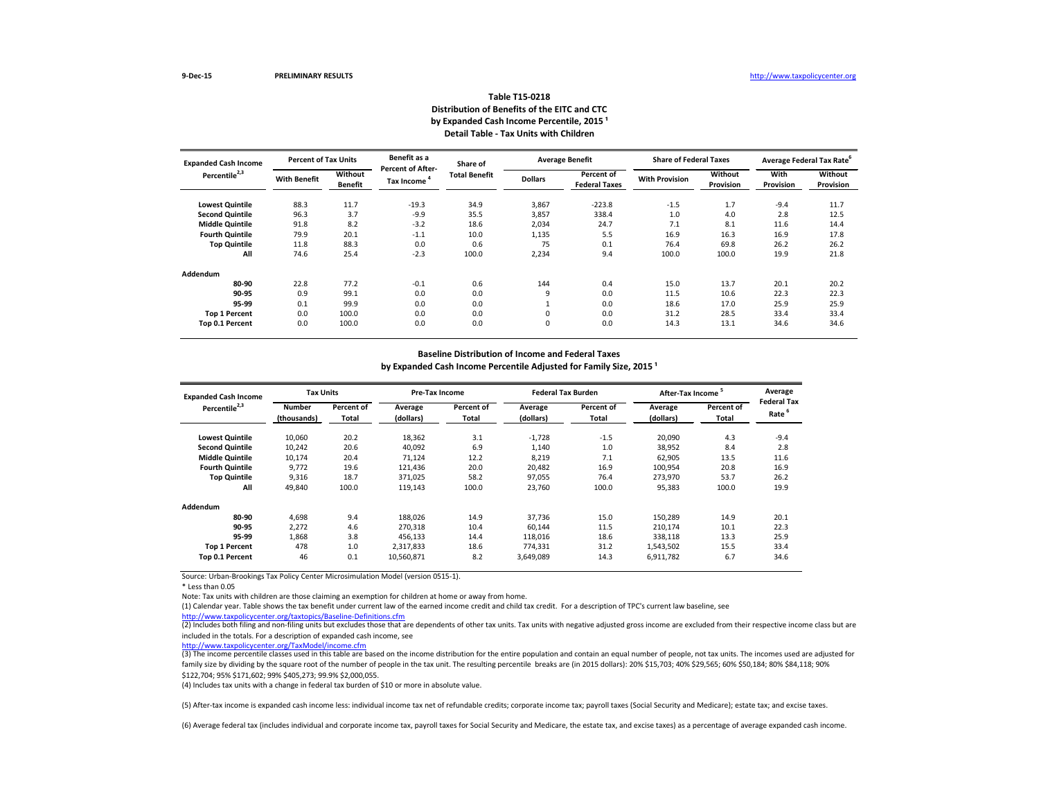| <b>Expanded Cash Income</b><br>Percentile <sup>2,3</sup> | <b>Percent of Tax Units</b> |                           | Benefit as a                                  | Share of             |                | <b>Average Benefit</b>             | <b>Share of Federal Taxes</b> |                             | Average Federal Tax Rate <sup>6</sup> |                             |
|----------------------------------------------------------|-----------------------------|---------------------------|-----------------------------------------------|----------------------|----------------|------------------------------------|-------------------------------|-----------------------------|---------------------------------------|-----------------------------|
|                                                          | <b>With Benefit</b>         | Without<br><b>Benefit</b> | <b>Percent of After-</b><br><b>Tax Income</b> | <b>Total Benefit</b> | <b>Dollars</b> | Percent of<br><b>Federal Taxes</b> | <b>With Provision</b>         | Without<br><b>Provision</b> | With<br><b>Provision</b>              | Without<br><b>Provision</b> |
| <b>Lowest Quintile</b>                                   | 88.3                        | 11.7                      | $-19.3$                                       | 34.9                 | 3,867          | $-223.8$                           | $-1.5$                        | 1.7                         | $-9.4$                                | 11.7                        |
| <b>Second Quintile</b>                                   | 96.3                        | 3.7                       | $-9.9$                                        | 35.5                 | 3,857          | 338.4                              | 1.0                           | 4.0                         | 2.8                                   | 12.5                        |
| <b>Middle Quintile</b>                                   | 91.8                        | 8.2                       | $-3.2$                                        | 18.6                 | 2,034          | 24.7                               | 7.1                           | 8.1                         | 11.6                                  | 14.4                        |
| <b>Fourth Quintile</b>                                   | 79.9                        | 20.1                      | $-1.1$                                        | 10.0                 | 1,135          | 5.5                                | 16.9                          | 16.3                        | 16.9                                  | 17.8                        |
| <b>Top Quintile</b>                                      | 11.8                        | 88.3                      | 0.0                                           | 0.6                  | 75             | 0.1                                | 76.4                          | 69.8                        | 26.2                                  | 26.2                        |
| All                                                      | 74.6                        | 25.4                      | $-2.3$                                        | 100.0                | 2,234          | 9.4                                | 100.0                         | 100.0                       | 19.9                                  | 21.8                        |
| <b>Addendum</b>                                          |                             |                           |                                               |                      |                |                                    |                               |                             |                                       |                             |
| 80-90                                                    | 22.8                        | 77.2                      | $-0.1$                                        | 0.6                  | 144            | 0.4                                | 15.0                          | 13.7                        | 20.1                                  | 20.2                        |
| 90-95                                                    | 0.9                         | 99.1                      | 0.0                                           | 0.0                  | 9              | 0.0                                | 11.5                          | 10.6                        | 22.3                                  | 22.3                        |
| 95-99                                                    | 0.1                         | 99.9                      | 0.0                                           | 0.0                  |                | 0.0                                | 18.6                          | 17.0                        | 25.9                                  | 25.9                        |
| <b>Top 1 Percent</b>                                     | 0.0                         | 100.0                     | 0.0                                           | 0.0                  | 0              | 0.0                                | 31.2                          | 28.5                        | 33.4                                  | 33.4                        |
| Top 0.1 Percent                                          | 0.0                         | 100.0                     | 0.0                                           | 0.0                  | 0              | 0.0                                | 14.3                          | 13.1                        | 34.6                                  | 34.6                        |

**Baseline Distribution of Income and Federal Taxes**

by Expanded Cash Income Percentile Adjusted for Family Size, 2015<sup>1</sup>

Source: Urban-Brookings Tax Policy Center Microsimulation Model (version 0515-1).

\* Less than 0.05

Note: Tax units with children are those claiming an exemption for children at home or away from home.

(2) Includes both filing and non-filing units but excludes those that are dependents of other tax units. Tax units with negative adjusted gross income are excluded from their respective income class but are included in the totals. For a description of expanded cash income, see

| <b>Expanded Cash Income</b><br>Percentile <sup>2,3</sup> | <b>Tax Units</b>             |                     | <b>Pre-Tax Income</b> |                     | <b>Federal Tax Burden</b> |                            | After-Tax Income <sup>5</sup> |                     | Average                                 |
|----------------------------------------------------------|------------------------------|---------------------|-----------------------|---------------------|---------------------------|----------------------------|-------------------------------|---------------------|-----------------------------------------|
|                                                          | <b>Number</b><br>(thousands) | Percent of<br>Total | Average<br>(dollars)  | Percent of<br>Total | Average<br>(dollars)      | <b>Percent of</b><br>Total | Average<br>(dollars)          | Percent of<br>Total | <b>Federal Tax</b><br>Rate <sup>6</sup> |
| <b>Lowest Quintile</b>                                   | 10,060                       | 20.2                | 18,362                | 3.1                 | $-1,728$                  | $-1.5$                     | 20,090                        | 4.3                 | $-9.4$                                  |
| <b>Second Quintile</b>                                   | 10,242                       | 20.6                | 40,092                | 6.9                 | 1,140                     | 1.0                        | 38,952                        | 8.4                 | 2.8                                     |
| <b>Middle Quintile</b>                                   | 10,174                       | 20.4                | 71,124                | 12.2                | 8,219                     | 7.1                        | 62,905                        | 13.5                | 11.6                                    |
| <b>Fourth Quintile</b>                                   | 9,772                        | 19.6                | 121,436               | 20.0                | 20,482                    | 16.9                       | 100,954                       | 20.8                | 16.9                                    |
| <b>Top Quintile</b>                                      | 9,316                        | 18.7                | 371,025               | 58.2                | 97,055                    | 76.4                       | 273,970                       | 53.7                | 26.2                                    |
| All                                                      | 49,840                       | 100.0               | 119,143               | 100.0               | 23,760                    | 100.0                      | 95,383                        | 100.0               | 19.9                                    |
| <b>Addendum</b>                                          |                              |                     |                       |                     |                           |                            |                               |                     |                                         |
| 80-90                                                    | 4,698                        | 9.4                 | 188,026               | 14.9                | 37,736                    | 15.0                       | 150,289                       | 14.9                | 20.1                                    |
| 90-95                                                    | 2,272                        | 4.6                 | 270,318               | 10.4                | 60,144                    | 11.5                       | 210,174                       | 10.1                | 22.3                                    |
| 95-99                                                    | 1,868                        | 3.8                 | 456,133               | 14.4                | 118,016                   | 18.6                       | 338,118                       | 13.3                | 25.9                                    |
| <b>Top 1 Percent</b>                                     | 478                          | 1.0                 | 2,317,833             | 18.6                | 774,331                   | 31.2                       | 1,543,502                     | 15.5                | 33.4                                    |
| Top 0.1 Percent                                          | 46                           | 0.1                 | 10,560,871            | 8.2                 | 3,649,089                 | 14.3                       | 6,911,782                     | 6.7                 | 34.6                                    |

## **Table T15-0218 Distribution of Benefits of the EITC and CTC** by Expanded Cash Income Percentile, 2015<sup>1</sup> **Detail Table - Tax Units with Children**

(3) The income percentile classes used in this table are based on the income distribution for the entire population and contain an equal number of people, not tax units. The incomes used are adjusted for family size by dividing by the square root of the number of people in the tax unit. The resulting percentile breaks are (in 2015 dollars): 20% \$15,703; 40% \$29,565; 60% \$50,184; 80% \$84,118; 90% \$122,704; 95% \$171,602; 99% \$405,273; 99.9% \$2,000,055.

<http://www.taxpolicycenter.org/taxtopics/Baseline-Definitions.cfm> (1) Calendar year. Table shows the tax benefit under current law of the earned income credit and child tax credit. For a description of TPC's current law baseline, see

(6) Average federal tax (includes individual and corporate income tax, payroll taxes for Social Security and Medicare, the estate tax, and excise taxes) as a percentage of average expanded cash income.

<http://www.taxpolicycenter.org/TaxModel/income.cfm>

(4) Includes tax units with a change in federal tax burden of \$10 or more in absolute value.

(5) After-tax income is expanded cash income less: individual income tax net of refundable credits; corporate income tax; payroll taxes (Social Security and Medicare); estate tax; and excise taxes.